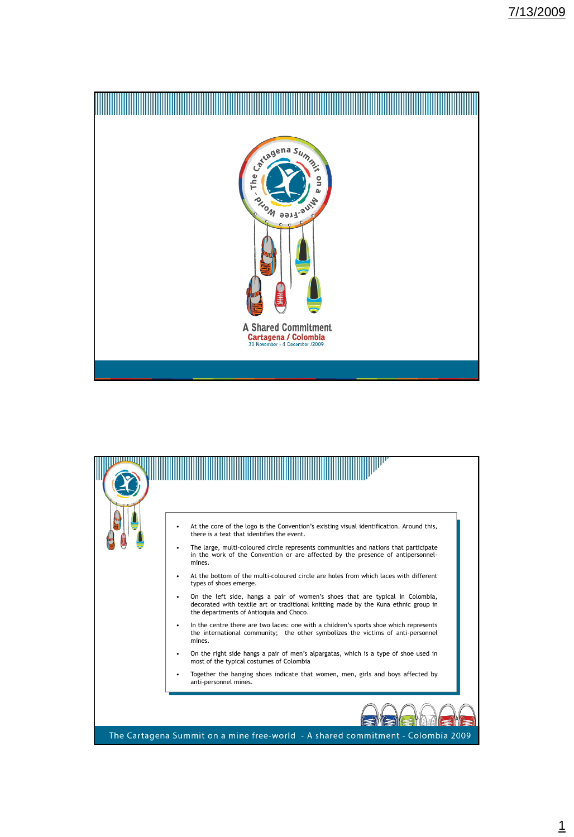

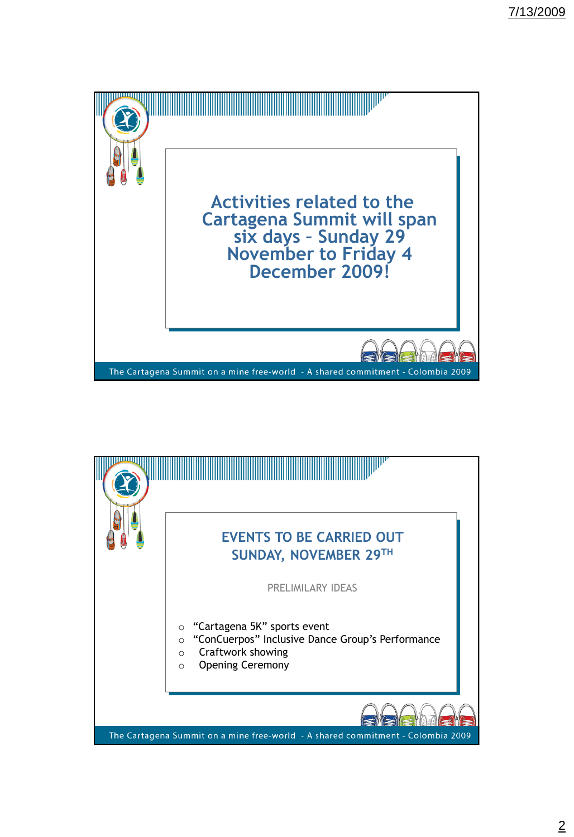

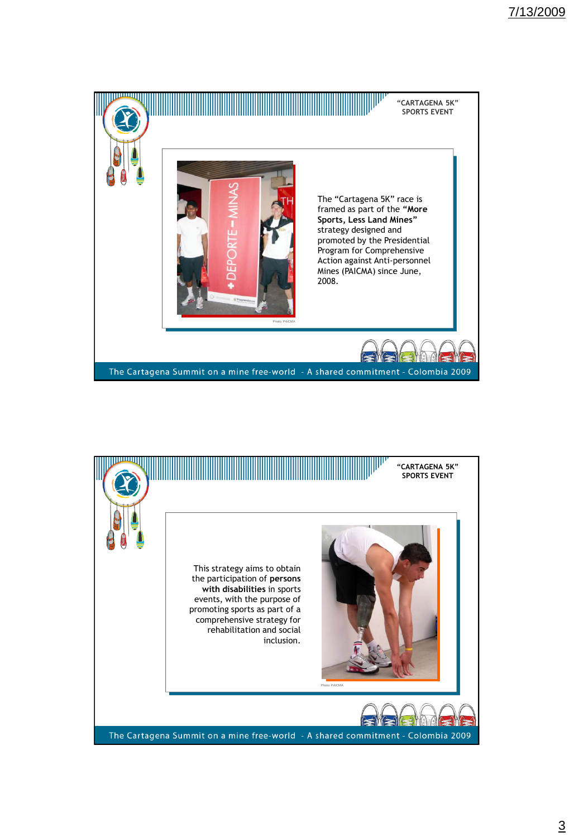

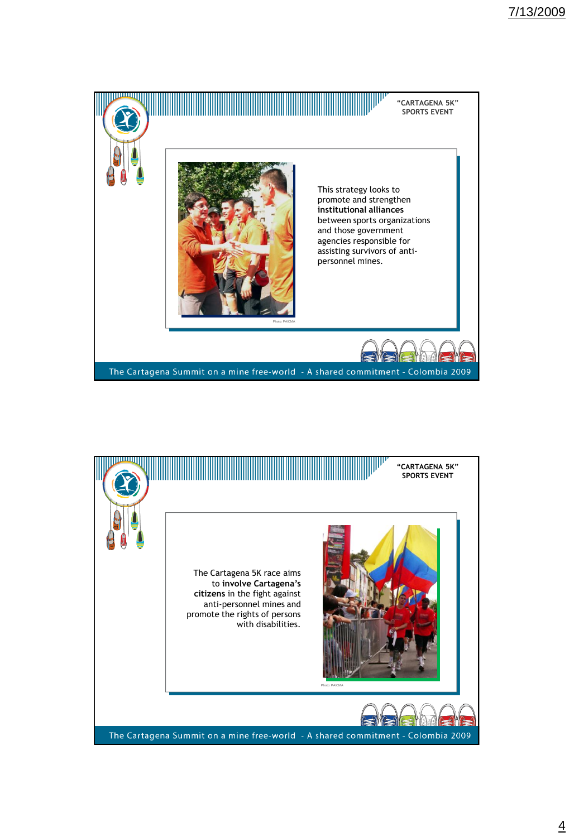

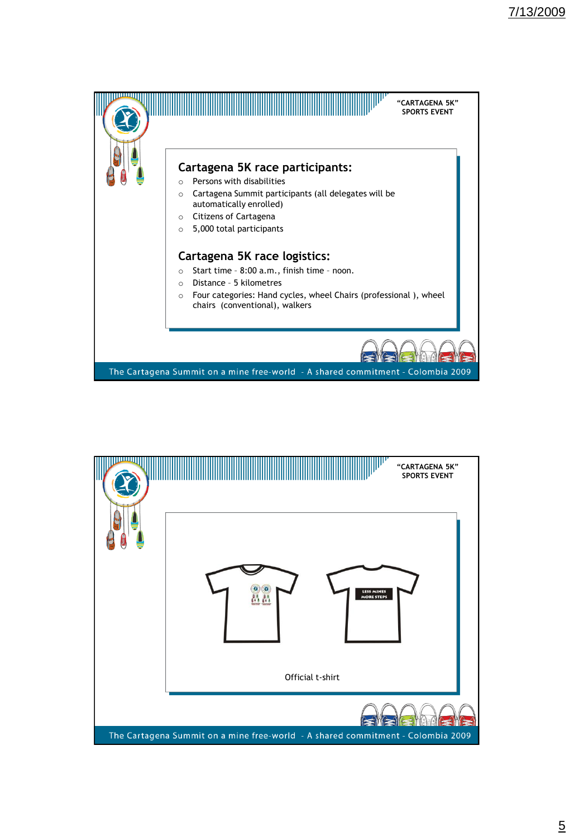

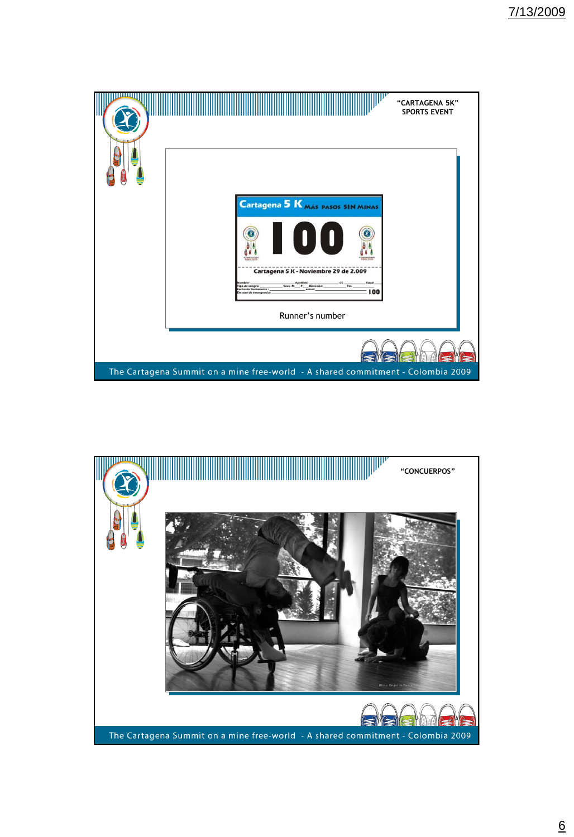

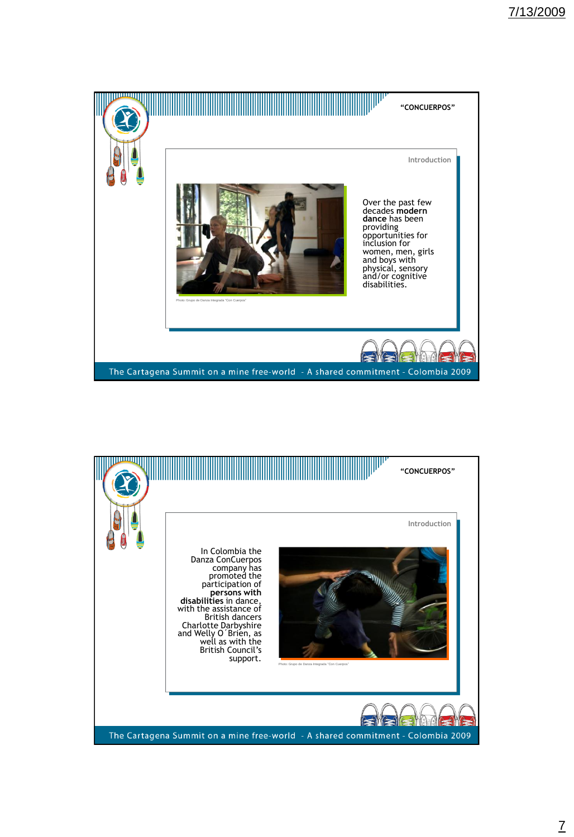

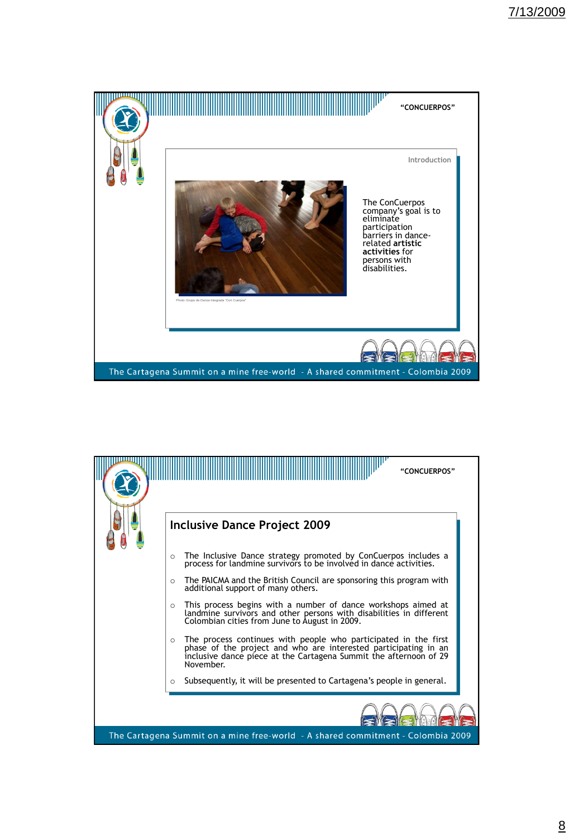

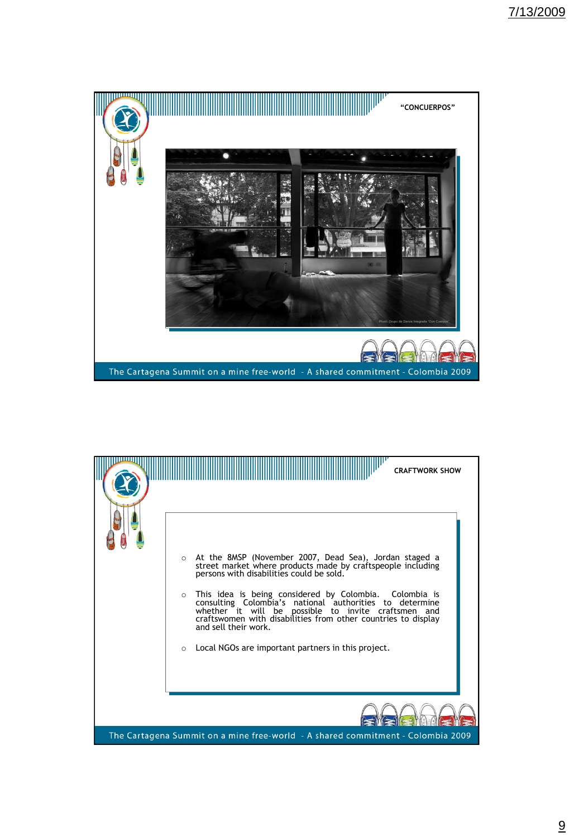

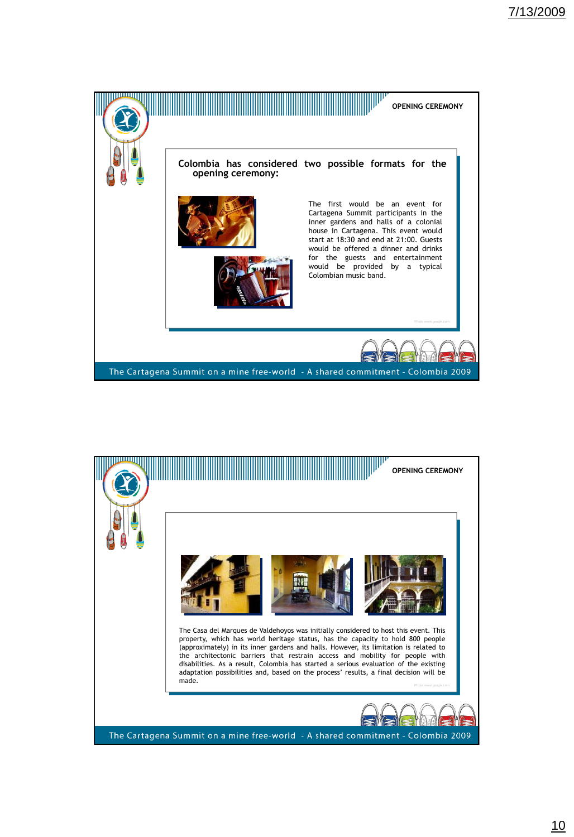